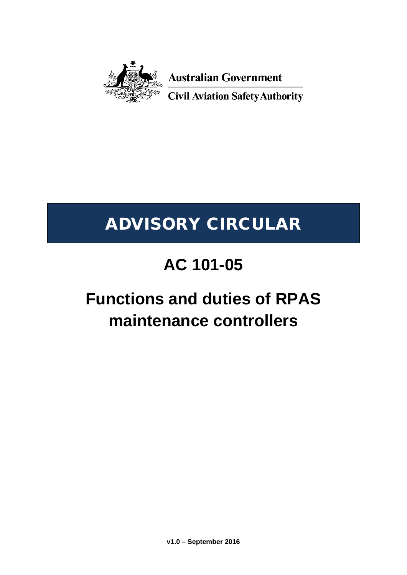

**Australian Government** 

**Civil Aviation Safety Authority** 

## ADVISORY CIRCULAR

## **AC 101-05**

## **Functions and duties of RPAS maintenance controllers**